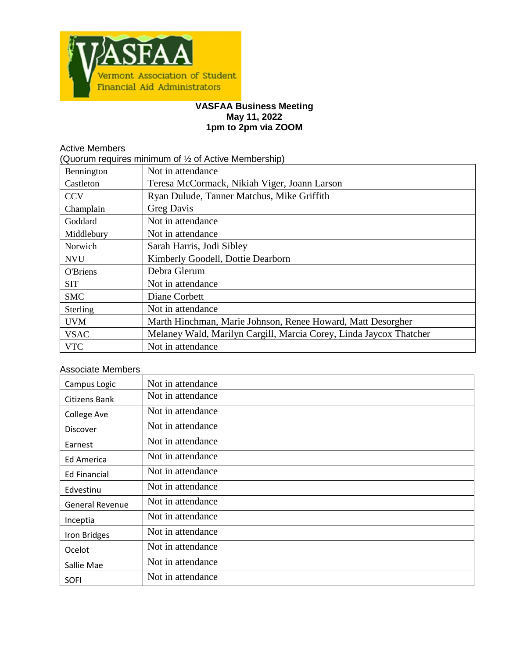

#### **VASFAA Business Meeting May 11, 2022 1pm to 2pm via ZOOM**

| <b>Active Members</b>                                |                                                                    |  |  |  |
|------------------------------------------------------|--------------------------------------------------------------------|--|--|--|
| Quorum requires minimum of 1/2 of Active Membership) |                                                                    |  |  |  |
| Bennington                                           | Not in attendance                                                  |  |  |  |
| Castleton                                            | Teresa McCormack, Nikiah Viger, Joann Larson                       |  |  |  |
| <b>CCV</b>                                           | Ryan Dulude, Tanner Matchus, Mike Griffith                         |  |  |  |
| Champlain                                            | <b>Greg Davis</b>                                                  |  |  |  |
| Goddard                                              | Not in attendance                                                  |  |  |  |
| Middlebury                                           | Not in attendance                                                  |  |  |  |
| Norwich                                              | Sarah Harris, Jodi Sibley                                          |  |  |  |
| <b>NVU</b>                                           | Kimberly Goodell, Dottie Dearborn                                  |  |  |  |
| <b>O'Briens</b>                                      | Debra Glerum                                                       |  |  |  |
| <b>SIT</b>                                           | Not in attendance                                                  |  |  |  |
| <b>SMC</b>                                           | Diane Corbett                                                      |  |  |  |
| Sterling                                             | Not in attendance                                                  |  |  |  |
| <b>UVM</b>                                           | Marth Hinchman, Marie Johnson, Renee Howard, Matt Desorgher        |  |  |  |
| <b>VSAC</b>                                          | Melaney Wald, Marilyn Cargill, Marcia Corey, Linda Jaycox Thatcher |  |  |  |
| <b>VTC</b>                                           | Not in attendance                                                  |  |  |  |

## Associate Members

| Campus Logic           | Not in attendance |
|------------------------|-------------------|
| Citizens Bank          | Not in attendance |
| College Ave            | Not in attendance |
| <b>Discover</b>        | Not in attendance |
| Earnest                | Not in attendance |
| Ed America             | Not in attendance |
| <b>Ed Financial</b>    | Not in attendance |
| Edvestinu              | Not in attendance |
| <b>General Revenue</b> | Not in attendance |
| Inceptia               | Not in attendance |
| Iron Bridges           | Not in attendance |
| Ocelot                 | Not in attendance |
| Sallie Mae             | Not in attendance |
| <b>SOFI</b>            | Not in attendance |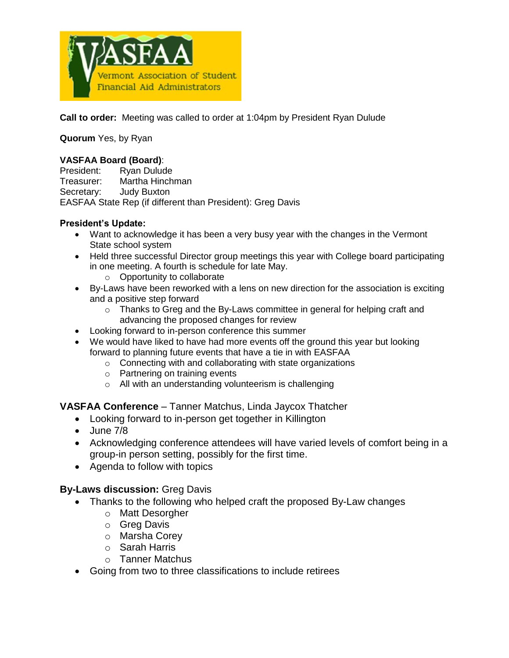

**Call to order:** Meeting was called to order at 1:04pm by President Ryan Dulude

**Quorum** Yes, by Ryan

## **VASFAA Board (Board)**:

President: Ryan Dulude Treasurer: Martha Hinchman Secretary: Judy Buxton EASFAA State Rep (if different than President): Greg Davis

## **President's Update:**

- Want to acknowledge it has been a very busy year with the changes in the Vermont State school system
- Held three successful Director group meetings this year with College board participating in one meeting. A fourth is schedule for late May.
	- o Opportunity to collaborate
- By-Laws have been reworked with a lens on new direction for the association is exciting and a positive step forward
	- $\circ$  Thanks to Greg and the By-Laws committee in general for helping craft and advancing the proposed changes for review
- Looking forward to in-person conference this summer
- We would have liked to have had more events off the ground this year but looking forward to planning future events that have a tie in with EASFAA
	- o Connecting with and collaborating with state organizations
	- o Partnering on training events
	- o All with an understanding volunteerism is challenging

**VASFAA Conference** – Tanner Matchus, Linda Jaycox Thatcher

- Looking forward to in-person get together in Killington
- June 7/8
- Acknowledging conference attendees will have varied levels of comfort being in a group-in person setting, possibly for the first time.
- Agenda to follow with topics

# **By-Laws discussion:** Greg Davis

- Thanks to the following who helped craft the proposed By-Law changes
	- o Matt Desorgher
	- o Greg Davis
	- o Marsha Corey
	- o Sarah Harris
	- o Tanner Matchus
- Going from two to three classifications to include retirees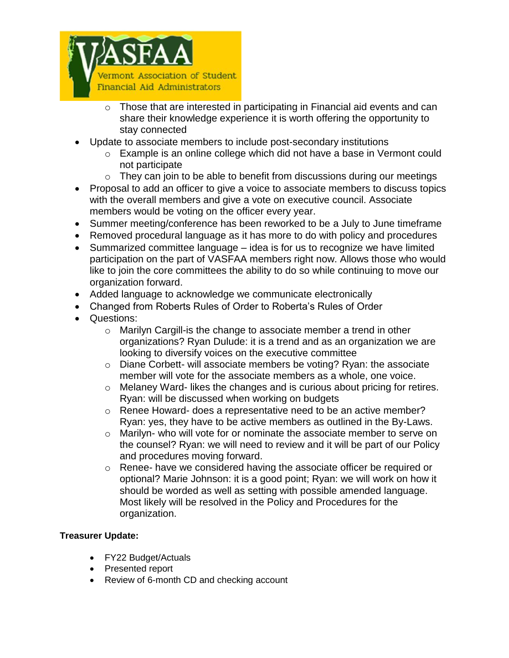

- o Those that are interested in participating in Financial aid events and can share their knowledge experience it is worth offering the opportunity to stay connected
- Update to associate members to include post-secondary institutions
	- o Example is an online college which did not have a base in Vermont could not participate
	- $\circ$  They can join to be able to benefit from discussions during our meetings
- Proposal to add an officer to give a voice to associate members to discuss topics with the overall members and give a vote on executive council. Associate members would be voting on the officer every year.
- Summer meeting/conference has been reworked to be a July to June timeframe
- Removed procedural language as it has more to do with policy and procedures
- Summarized committee language idea is for us to recognize we have limited participation on the part of VASFAA members right now. Allows those who would like to join the core committees the ability to do so while continuing to move our organization forward.
- Added language to acknowledge we communicate electronically
- Changed from Roberts Rules of Order to Roberta's Rules of Order
- Questions:
	- o Marilyn Cargill-is the change to associate member a trend in other organizations? Ryan Dulude: it is a trend and as an organization we are looking to diversify voices on the executive committee
	- o Diane Corbett- will associate members be voting? Ryan: the associate member will vote for the associate members as a whole, one voice.
	- o Melaney Ward- likes the changes and is curious about pricing for retires. Ryan: will be discussed when working on budgets
	- o Renee Howard- does a representative need to be an active member? Ryan: yes, they have to be active members as outlined in the By-Laws.
	- o Marilyn- who will vote for or nominate the associate member to serve on the counsel? Ryan: we will need to review and it will be part of our Policy and procedures moving forward.
	- o Renee- have we considered having the associate officer be required or optional? Marie Johnson: it is a good point; Ryan: we will work on how it should be worded as well as setting with possible amended language. Most likely will be resolved in the Policy and Procedures for the organization.

# **Treasurer Update:**

- FY22 Budget/Actuals
- Presented report
- Review of 6-month CD and checking account